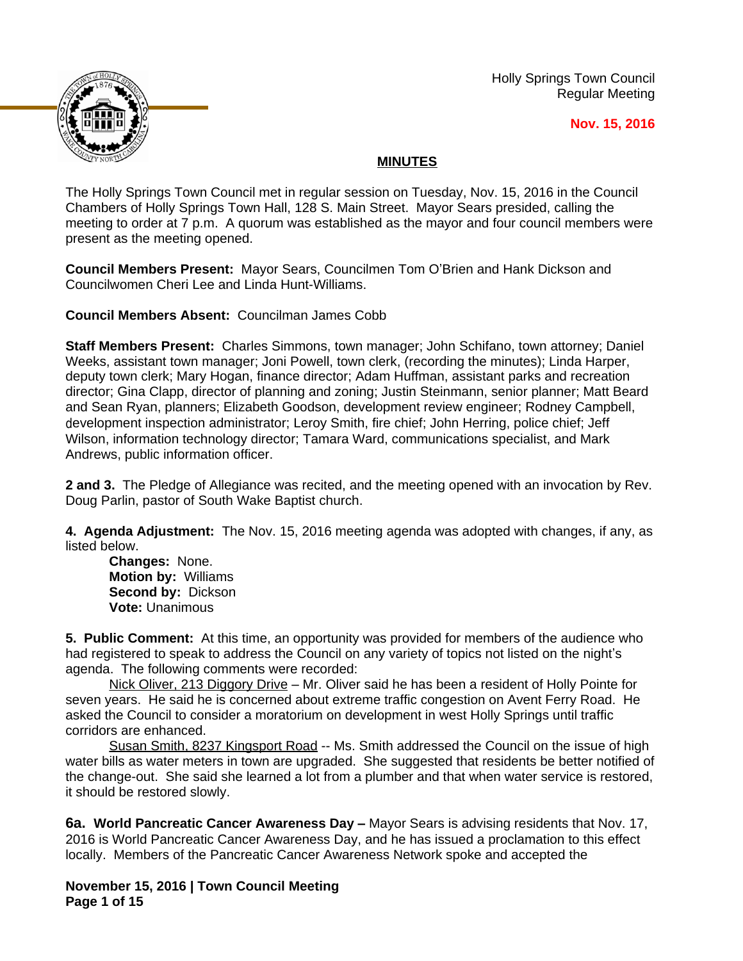Holly Springs Town Council Regular Meeting





# **MINUTES**

The Holly Springs Town Council met in regular session on Tuesday, Nov. 15, 2016 in the Council Chambers of Holly Springs Town Hall, 128 S. Main Street. Mayor Sears presided, calling the meeting to order at 7 p.m. A quorum was established as the mayor and four council members were present as the meeting opened.

**Council Members Present:** Mayor Sears, Councilmen Tom O'Brien and Hank Dickson and Councilwomen Cheri Lee and Linda Hunt-Williams.

**Council Members Absent:** Councilman James Cobb

**Staff Members Present:** Charles Simmons, town manager; John Schifano, town attorney; Daniel Weeks, assistant town manager; Joni Powell, town clerk, (recording the minutes); Linda Harper, deputy town clerk; Mary Hogan, finance director; Adam Huffman, assistant parks and recreation director; Gina Clapp, director of planning and zoning; Justin Steinmann, senior planner; Matt Beard and Sean Ryan, planners; Elizabeth Goodson, development review engineer; Rodney Campbell, development inspection administrator; Leroy Smith, fire chief; John Herring, police chief; Jeff Wilson, information technology director; Tamara Ward, communications specialist, and Mark Andrews, public information officer.

**2 and 3.** The Pledge of Allegiance was recited, and the meeting opened with an invocation by Rev. Doug Parlin, pastor of South Wake Baptist church.

**4. Agenda Adjustment:** The Nov. 15, 2016 meeting agenda was adopted with changes, if any, as listed below.

**Changes:** None. **Motion by:** Williams **Second by:** Dickson **Vote:** Unanimous

**5. Public Comment:** At this time, an opportunity was provided for members of the audience who had registered to speak to address the Council on any variety of topics not listed on the night's agenda. The following comments were recorded:

Nick Oliver, 213 Diggory Drive – Mr. Oliver said he has been a resident of Holly Pointe for seven years. He said he is concerned about extreme traffic congestion on Avent Ferry Road. He asked the Council to consider a moratorium on development in west Holly Springs until traffic corridors are enhanced.

Susan Smith, 8237 Kingsport Road -- Ms. Smith addressed the Council on the issue of high water bills as water meters in town are upgraded. She suggested that residents be better notified of the change-out. She said she learned a lot from a plumber and that when water service is restored, it should be restored slowly.

**6a. World Pancreatic Cancer Awareness Day – Mayor Sears is advising residents that Nov. 17,** 2016 is World Pancreatic Cancer Awareness Day, and he has issued a proclamation to this effect locally. Members of the Pancreatic Cancer Awareness Network spoke and accepted the

**November 15, 2016 | Town Council Meeting Page 1 of 15**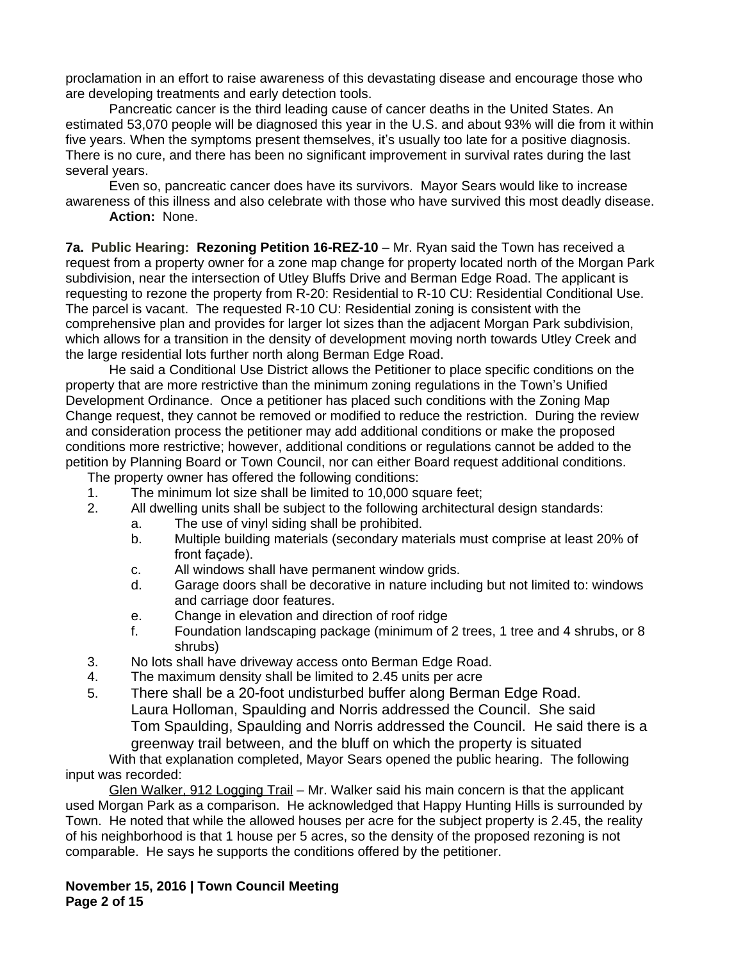proclamation in an effort to raise awareness of this devastating disease and encourage those who are developing treatments and early detection tools.

Pancreatic cancer is the third leading cause of cancer deaths in the United States. An estimated 53,070 people will be diagnosed this year in the U.S. and about 93% will die from it within five years. When the symptoms present themselves, it's usually too late for a positive diagnosis. There is no cure, and there has been no significant improvement in survival rates during the last several years.

Even so, pancreatic cancer does have its survivors. Mayor Sears would like to increase awareness of this illness and also celebrate with those who have survived this most deadly disease. **Action:** None.

**7a. Public Hearing: Rezoning Petition 16-REZ-10** – Mr. Ryan said the Town has received a request from a property owner for a zone map change for property located north of the Morgan Park subdivision, near the intersection of Utley Bluffs Drive and Berman Edge Road. The applicant is requesting to rezone the property from R-20: Residential to R-10 CU: Residential Conditional Use. The parcel is vacant. The requested R-10 CU: Residential zoning is consistent with the comprehensive plan and provides for larger lot sizes than the adjacent Morgan Park subdivision, which allows for a transition in the density of development moving north towards Utley Creek and the large residential lots further north along Berman Edge Road.

He said a Conditional Use District allows the Petitioner to place specific conditions on the property that are more restrictive than the minimum zoning regulations in the Town's Unified Development Ordinance. Once a petitioner has placed such conditions with the Zoning Map Change request, they cannot be removed or modified to reduce the restriction. During the review and consideration process the petitioner may add additional conditions or make the proposed conditions more restrictive; however, additional conditions or regulations cannot be added to the petition by Planning Board or Town Council, nor can either Board request additional conditions.

The property owner has offered the following conditions:

- 1. The minimum lot size shall be limited to 10,000 square feet;
- 2. All dwelling units shall be subject to the following architectural design standards:
	- a. The use of vinyl siding shall be prohibited.
	- b. Multiple building materials (secondary materials must comprise at least 20% of front façade).
	- c. All windows shall have permanent window grids.
	- d. Garage doors shall be decorative in nature including but not limited to: windows and carriage door features.
	- e. Change in elevation and direction of roof ridge
	- f. Foundation landscaping package (minimum of 2 trees, 1 tree and 4 shrubs, or 8 shrubs)
- 3. No lots shall have driveway access onto Berman Edge Road.
- 4. The maximum density shall be limited to 2.45 units per acre
- 5. There shall be a 20-foot undisturbed buffer along Berman Edge Road. Laura Holloman, Spaulding and Norris addressed the Council. She said Tom Spaulding, Spaulding and Norris addressed the Council. He said there is a greenway trail between, and the bluff on which the property is situated

## With that explanation completed, Mayor Sears opened the public hearing. The following input was recorded:

Glen Walker, 912 Logging Trail – Mr. Walker said his main concern is that the applicant used Morgan Park as a comparison. He acknowledged that Happy Hunting Hills is surrounded by Town. He noted that while the allowed houses per acre for the subject property is 2.45, the reality of his neighborhood is that 1 house per 5 acres, so the density of the proposed rezoning is not comparable. He says he supports the conditions offered by the petitioner.

#### **November 15, 2016 | Town Council Meeting Page 2 of 15**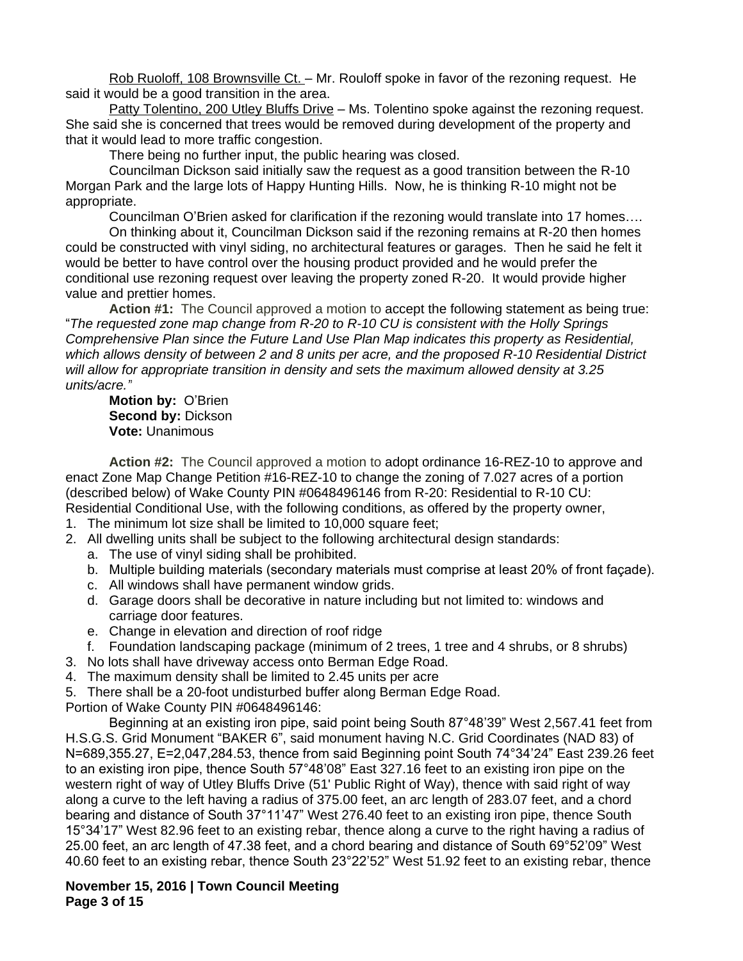Rob Ruoloff, 108 Brownsville Ct. – Mr. Rouloff spoke in favor of the rezoning request. He said it would be a good transition in the area.

Patty Tolentino, 200 Utley Bluffs Drive – Ms. Tolentino spoke against the rezoning request. She said she is concerned that trees would be removed during development of the property and that it would lead to more traffic congestion.

There being no further input, the public hearing was closed.

Councilman Dickson said initially saw the request as a good transition between the R-10 Morgan Park and the large lots of Happy Hunting Hills. Now, he is thinking R-10 might not be appropriate.

Councilman O'Brien asked for clarification if the rezoning would translate into 17 homes….

On thinking about it, Councilman Dickson said if the rezoning remains at R-20 then homes could be constructed with vinyl siding, no architectural features or garages. Then he said he felt it would be better to have control over the housing product provided and he would prefer the conditional use rezoning request over leaving the property zoned R-20. It would provide higher value and prettier homes.

**Action #1:** The Council approved a motion to accept the following statement as being true: "*The requested zone map change from R-20 to R-10 CU is consistent with the Holly Springs Comprehensive Plan since the Future Land Use Plan Map indicates this property as Residential, which allows density of between 2 and 8 units per acre, and the proposed R-10 Residential District will allow for appropriate transition in density and sets the maximum allowed density at 3.25 units/acre."*

**Motion by:** O'Brien **Second by: Dickson Vote:** Unanimous

**Action #2:** The Council approved a motion to adopt ordinance 16-REZ-10 to approve and enact Zone Map Change Petition #16-REZ-10 to change the zoning of 7.027 acres of a portion (described below) of Wake County PIN #0648496146 from R-20: Residential to R-10 CU: Residential Conditional Use, with the following conditions, as offered by the property owner,

- 1. The minimum lot size shall be limited to 10,000 square feet;
- 2. All dwelling units shall be subject to the following architectural design standards:
	- a. The use of vinyl siding shall be prohibited.
	- b. Multiple building materials (secondary materials must comprise at least 20% of front façade).
	- c. All windows shall have permanent window grids.
	- d. Garage doors shall be decorative in nature including but not limited to: windows and carriage door features.
	- e. Change in elevation and direction of roof ridge
	- f. Foundation landscaping package (minimum of 2 trees, 1 tree and 4 shrubs, or 8 shrubs)
- 3. No lots shall have driveway access onto Berman Edge Road.
- 4. The maximum density shall be limited to 2.45 units per acre

5. There shall be a 20-foot undisturbed buffer along Berman Edge Road. Portion of Wake County PIN #0648496146:

Beginning at an existing iron pipe, said point being South 87°48'39" West 2,567.41 feet from H.S.G.S. Grid Monument "BAKER 6", said monument having N.C. Grid Coordinates (NAD 83) of N=689,355.27, E=2,047,284.53, thence from said Beginning point South 74°34'24" East 239.26 feet to an existing iron pipe, thence South 57°48'08" East 327.16 feet to an existing iron pipe on the western right of way of Utley Bluffs Drive (51' Public Right of Way), thence with said right of way along a curve to the left having a radius of 375.00 feet, an arc length of 283.07 feet, and a chord bearing and distance of South 37°11'47" West 276.40 feet to an existing iron pipe, thence South 15°34'17" West 82.96 feet to an existing rebar, thence along a curve to the right having a radius of 25.00 feet, an arc length of 47.38 feet, and a chord bearing and distance of South 69°52'09" West 40.60 feet to an existing rebar, thence South 23°22'52" West 51.92 feet to an existing rebar, thence

## **November 15, 2016 | Town Council Meeting Page 3 of 15**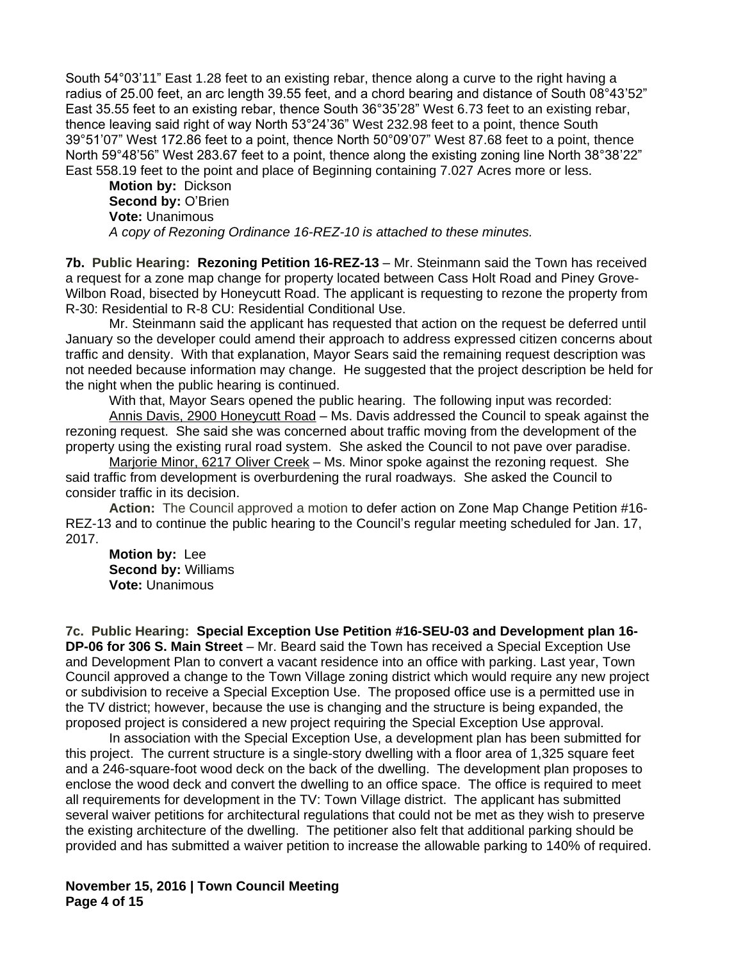South 54°03'11" East 1.28 feet to an existing rebar, thence along a curve to the right having a radius of 25.00 feet, an arc length 39.55 feet, and a chord bearing and distance of South 08°43'52" East 35.55 feet to an existing rebar, thence South 36°35'28" West 6.73 feet to an existing rebar, thence leaving said right of way North 53°24'36" West 232.98 feet to a point, thence South 39°51'07" West 172.86 feet to a point, thence North 50°09'07" West 87.68 feet to a point, thence North 59°48'56" West 283.67 feet to a point, thence along the existing zoning line North 38°38'22" East 558.19 feet to the point and place of Beginning containing 7.027 Acres more or less.

**Motion by:** Dickson **Second by:** O'Brien **Vote:** Unanimous *A copy of Rezoning Ordinance 16-REZ-10 is attached to these minutes.*

**7b. Public Hearing: Rezoning Petition 16-REZ-13** – Mr. Steinmann said the Town has received a request for a zone map change for property located between Cass Holt Road and Piney Grove-Wilbon Road, bisected by Honeycutt Road. The applicant is requesting to rezone the property from R-30: Residential to R-8 CU: Residential Conditional Use.

Mr. Steinmann said the applicant has requested that action on the request be deferred until January so the developer could amend their approach to address expressed citizen concerns about traffic and density. With that explanation, Mayor Sears said the remaining request description was not needed because information may change. He suggested that the project description be held for the night when the public hearing is continued.

With that, Mayor Sears opened the public hearing. The following input was recorded:

Annis Davis, 2900 Honeycutt Road – Ms. Davis addressed the Council to speak against the rezoning request. She said she was concerned about traffic moving from the development of the property using the existing rural road system. She asked the Council to not pave over paradise.

Marjorie Minor, 6217 Oliver Creek – Ms. Minor spoke against the rezoning request. She said traffic from development is overburdening the rural roadways. She asked the Council to consider traffic in its decision.

**Action:** The Council approved a motion to defer action on Zone Map Change Petition #16- REZ-13 and to continue the public hearing to the Council's regular meeting scheduled for Jan. 17, 2017.

**Motion by:** Lee **Second by:** Williams **Vote:** Unanimous

**7c. Public Hearing: Special Exception Use Petition #16-SEU-03 and Development plan 16- DP-06 for 306 S. Main Street** – Mr. Beard said the Town has received a Special Exception Use and Development Plan to convert a vacant residence into an office with parking. Last year, Town Council approved a change to the Town Village zoning district which would require any new project or subdivision to receive a Special Exception Use. The proposed office use is a permitted use in the TV district; however, because the use is changing and the structure is being expanded, the proposed project is considered a new project requiring the Special Exception Use approval.

In association with the Special Exception Use, a development plan has been submitted for this project. The current structure is a single-story dwelling with a floor area of 1,325 square feet and a 246-square-foot wood deck on the back of the dwelling. The development plan proposes to enclose the wood deck and convert the dwelling to an office space. The office is required to meet all requirements for development in the TV: Town Village district. The applicant has submitted several waiver petitions for architectural regulations that could not be met as they wish to preserve the existing architecture of the dwelling. The petitioner also felt that additional parking should be provided and has submitted a waiver petition to increase the allowable parking to 140% of required.

**November 15, 2016 | Town Council Meeting Page 4 of 15**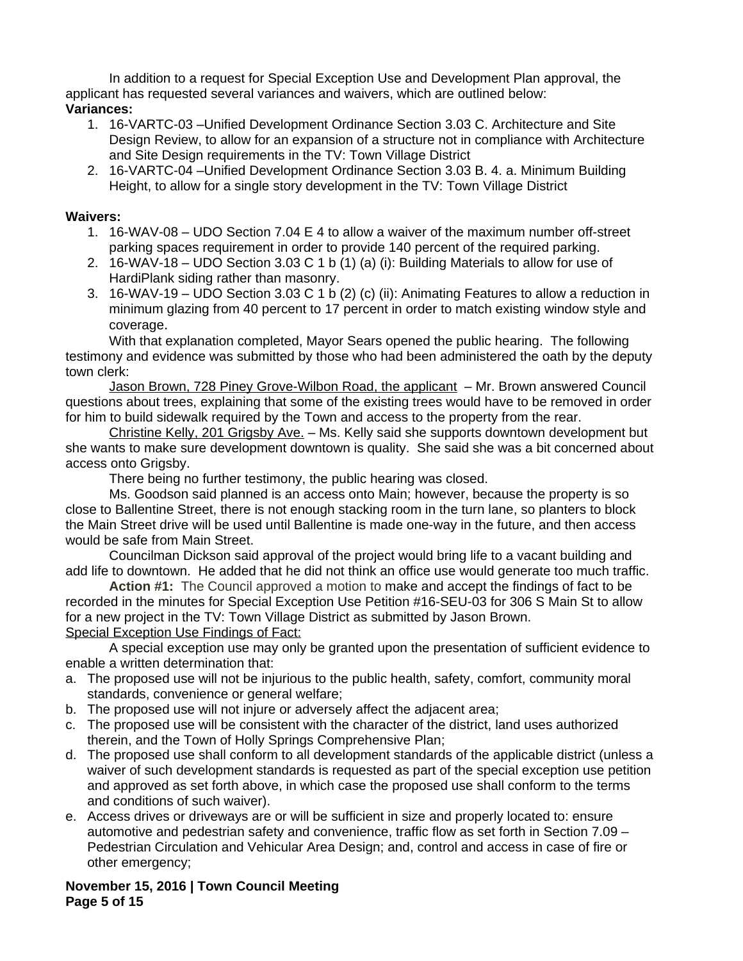In addition to a request for Special Exception Use and Development Plan approval, the applicant has requested several variances and waivers, which are outlined below: **Variances:**

- 1. 16-VARTC-03 –Unified Development Ordinance Section 3.03 C. Architecture and Site Design Review, to allow for an expansion of a structure not in compliance with Architecture and Site Design requirements in the TV: Town Village District
- 2. 16-VARTC-04 –Unified Development Ordinance Section 3.03 B. 4. a. Minimum Building Height, to allow for a single story development in the TV: Town Village District

## **Waivers:**

- 1. 16-WAV-08 UDO Section 7.04 E 4 to allow a waiver of the maximum number off-street parking spaces requirement in order to provide 140 percent of the required parking.
- 2. 16-WAV-18 UDO Section 3.03 C 1 b (1) (a) (i): Building Materials to allow for use of HardiPlank siding rather than masonry.
- 3. 16-WAV-19 UDO Section 3.03 C 1 b (2) (c) (ii): Animating Features to allow a reduction in minimum glazing from 40 percent to 17 percent in order to match existing window style and coverage.

With that explanation completed, Mayor Sears opened the public hearing. The following testimony and evidence was submitted by those who had been administered the oath by the deputy town clerk:

Jason Brown, 728 Piney Grove-Wilbon Road, the applicant – Mr. Brown answered Council questions about trees, explaining that some of the existing trees would have to be removed in order for him to build sidewalk required by the Town and access to the property from the rear.

Christine Kelly, 201 Grigsby Ave. – Ms. Kelly said she supports downtown development but she wants to make sure development downtown is quality. She said she was a bit concerned about access onto Grigsby.

There being no further testimony, the public hearing was closed.

Ms. Goodson said planned is an access onto Main; however, because the property is so close to Ballentine Street, there is not enough stacking room in the turn lane, so planters to block the Main Street drive will be used until Ballentine is made one-way in the future, and then access would be safe from Main Street.

Councilman Dickson said approval of the project would bring life to a vacant building and add life to downtown. He added that he did not think an office use would generate too much traffic.

**Action #1:** The Council approved a motion to make and accept the findings of fact to be recorded in the minutes for Special Exception Use Petition #16-SEU-03 for 306 S Main St to allow for a new project in the TV: Town Village District as submitted by Jason Brown. Special Exception Use Findings of Fact:

A special exception use may only be granted upon the presentation of sufficient evidence to enable a written determination that:

- a. The proposed use will not be injurious to the public health, safety, comfort, community moral standards, convenience or general welfare;
- b. The proposed use will not injure or adversely affect the adjacent area;
- c. The proposed use will be consistent with the character of the district, land uses authorized therein, and the Town of Holly Springs Comprehensive Plan;
- d. The proposed use shall conform to all development standards of the applicable district (unless a waiver of such development standards is requested as part of the special exception use petition and approved as set forth above, in which case the proposed use shall conform to the terms and conditions of such waiver).
- e. Access drives or driveways are or will be sufficient in size and properly located to: ensure automotive and pedestrian safety and convenience, traffic flow as set forth in Section 7.09 – Pedestrian Circulation and Vehicular Area Design; and, control and access in case of fire or other emergency;

**November 15, 2016 | Town Council Meeting Page 5 of 15**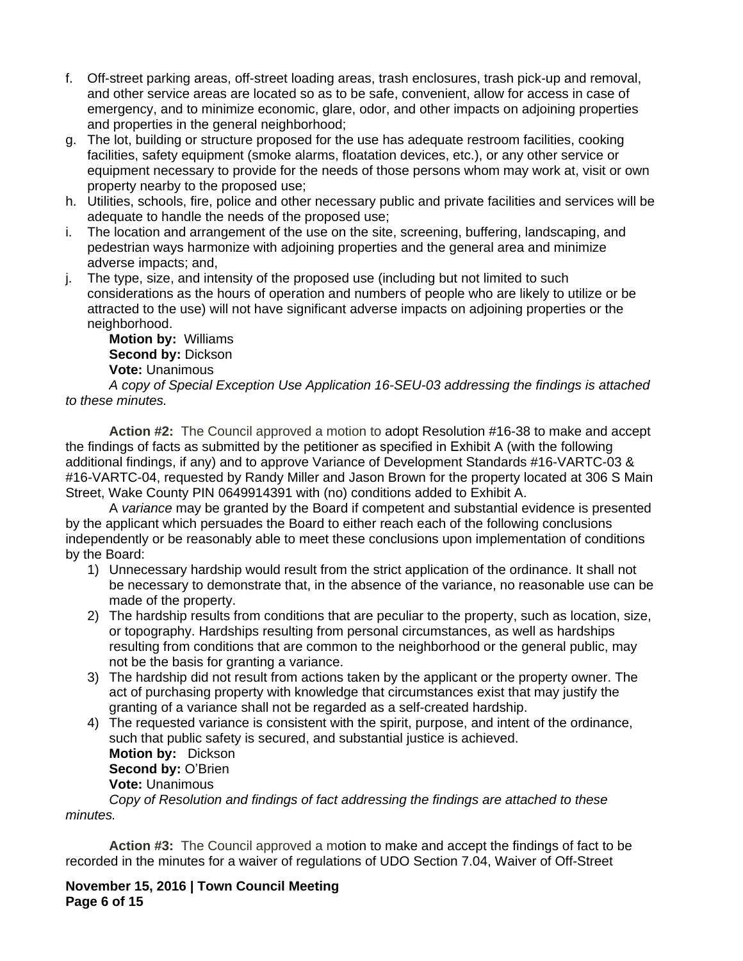- f. Off-street parking areas, off-street loading areas, trash enclosures, trash pick-up and removal, and other service areas are located so as to be safe, convenient, allow for access in case of emergency, and to minimize economic, glare, odor, and other impacts on adjoining properties and properties in the general neighborhood;
- g. The lot, building or structure proposed for the use has adequate restroom facilities, cooking facilities, safety equipment (smoke alarms, floatation devices, etc.), or any other service or equipment necessary to provide for the needs of those persons whom may work at, visit or own property nearby to the proposed use;
- h. Utilities, schools, fire, police and other necessary public and private facilities and services will be adequate to handle the needs of the proposed use;
- i. The location and arrangement of the use on the site, screening, buffering, landscaping, and pedestrian ways harmonize with adjoining properties and the general area and minimize adverse impacts; and,
- j. The type, size, and intensity of the proposed use (including but not limited to such considerations as the hours of operation and numbers of people who are likely to utilize or be attracted to the use) will not have significant adverse impacts on adjoining properties or the neighborhood.

**Motion by:** Williams **Second by:** Dickson **Vote:** Unanimous

*A copy of Special Exception Use Application 16-SEU-03 addressing the findings is attached to these minutes.*

**Action #2:** The Council approved a motion to adopt Resolution #16-38 to make and accept the findings of facts as submitted by the petitioner as specified in Exhibit A (with the following additional findings, if any) and to approve Variance of Development Standards #16-VARTC-03 & #16-VARTC-04, requested by Randy Miller and Jason Brown for the property located at 306 S Main Street, Wake County PIN 0649914391 with (no) conditions added to Exhibit A.

A *variance* may be granted by the Board if competent and substantial evidence is presented by the applicant which persuades the Board to either reach each of the following conclusions independently or be reasonably able to meet these conclusions upon implementation of conditions by the Board:

- 1) Unnecessary hardship would result from the strict application of the ordinance. It shall not be necessary to demonstrate that, in the absence of the variance, no reasonable use can be made of the property.
- 2) The hardship results from conditions that are peculiar to the property, such as location, size, or topography. Hardships resulting from personal circumstances, as well as hardships resulting from conditions that are common to the neighborhood or the general public, may not be the basis for granting a variance.
- 3) The hardship did not result from actions taken by the applicant or the property owner. The act of purchasing property with knowledge that circumstances exist that may justify the granting of a variance shall not be regarded as a self-created hardship.
- 4) The requested variance is consistent with the spirit, purpose, and intent of the ordinance, such that public safety is secured, and substantial justice is achieved. **Motion by:** Dickson **Second by:** O'Brien **Vote:** Unanimous *Copy of Resolution and findings of fact addressing the findings are attached to these*

*minutes.*

**Action #3:** The Council approved a motion to make and accept the findings of fact to be recorded in the minutes for a waiver of regulations of UDO Section 7.04, Waiver of Off-Street

**November 15, 2016 | Town Council Meeting Page 6 of 15**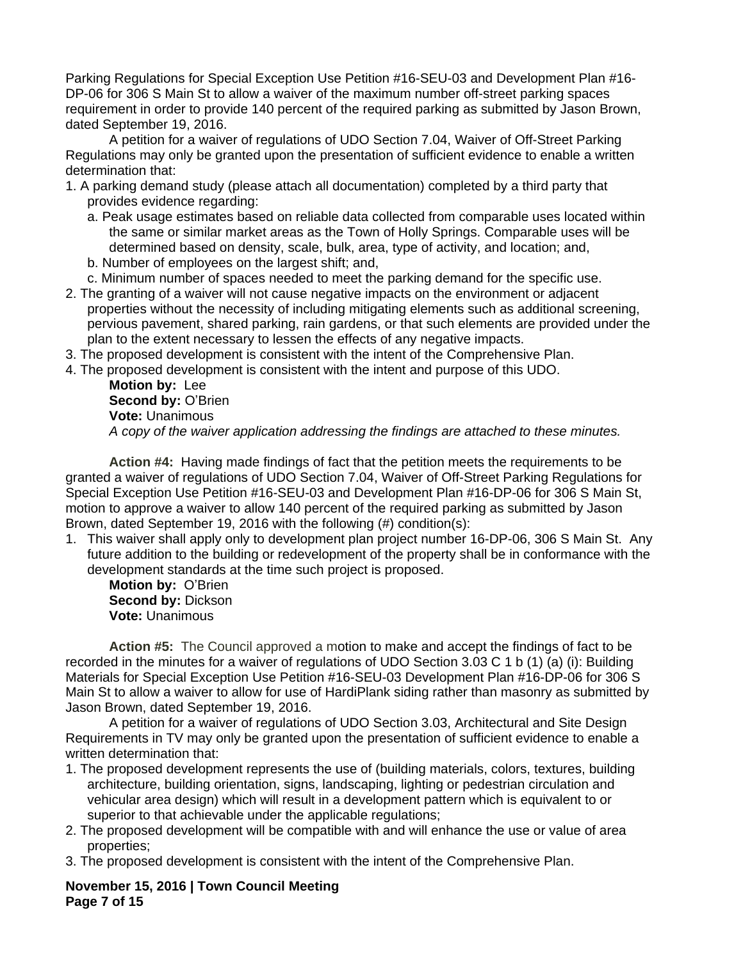Parking Regulations for Special Exception Use Petition #16-SEU-03 and Development Plan #16- DP-06 for 306 S Main St to allow a waiver of the maximum number off-street parking spaces requirement in order to provide 140 percent of the required parking as submitted by Jason Brown, dated September 19, 2016.

A petition for a waiver of regulations of UDO Section 7.04, Waiver of Off-Street Parking Regulations may only be granted upon the presentation of sufficient evidence to enable a written determination that:

- 1. A parking demand study (please attach all documentation) completed by a third party that provides evidence regarding:
	- a. Peak usage estimates based on reliable data collected from comparable uses located within the same or similar market areas as the Town of Holly Springs. Comparable uses will be determined based on density, scale, bulk, area, type of activity, and location; and,
	- b. Number of employees on the largest shift; and,
	- c. Minimum number of spaces needed to meet the parking demand for the specific use.
- 2. The granting of a waiver will not cause negative impacts on the environment or adjacent properties without the necessity of including mitigating elements such as additional screening, pervious pavement, shared parking, rain gardens, or that such elements are provided under the plan to the extent necessary to lessen the effects of any negative impacts.
- 3. The proposed development is consistent with the intent of the Comprehensive Plan.
- 4. The proposed development is consistent with the intent and purpose of this UDO.

**Motion by:** Lee Second by: O'Brien **Vote:** Unanimous *A copy of the waiver application addressing the findings are attached to these minutes.*

**Action #4:** Having made findings of fact that the petition meets the requirements to be granted a waiver of regulations of UDO Section 7.04, Waiver of Off-Street Parking Regulations for Special Exception Use Petition #16-SEU-03 and Development Plan #16-DP-06 for 306 S Main St, motion to approve a waiver to allow 140 percent of the required parking as submitted by Jason Brown, dated September 19, 2016 with the following (#) condition(s):

1. This waiver shall apply only to development plan project number 16-DP-06, 306 S Main St. Any future addition to the building or redevelopment of the property shall be in conformance with the development standards at the time such project is proposed.

**Motion by:** O'Brien **Second by:** Dickson **Vote:** Unanimous

**Action #5:** The Council approved a motion to make and accept the findings of fact to be recorded in the minutes for a waiver of regulations of UDO Section 3.03 C 1 b (1) (a) (i): Building Materials for Special Exception Use Petition #16-SEU-03 Development Plan #16-DP-06 for 306 S Main St to allow a waiver to allow for use of HardiPlank siding rather than masonry as submitted by Jason Brown, dated September 19, 2016.

A petition for a waiver of regulations of UDO Section 3.03, Architectural and Site Design Requirements in TV may only be granted upon the presentation of sufficient evidence to enable a written determination that:

- 1. The proposed development represents the use of (building materials, colors, textures, building architecture, building orientation, signs, landscaping, lighting or pedestrian circulation and vehicular area design) which will result in a development pattern which is equivalent to or superior to that achievable under the applicable regulations;
- 2. The proposed development will be compatible with and will enhance the use or value of area properties;
- 3. The proposed development is consistent with the intent of the Comprehensive Plan.

**November 15, 2016 | Town Council Meeting Page 7 of 15**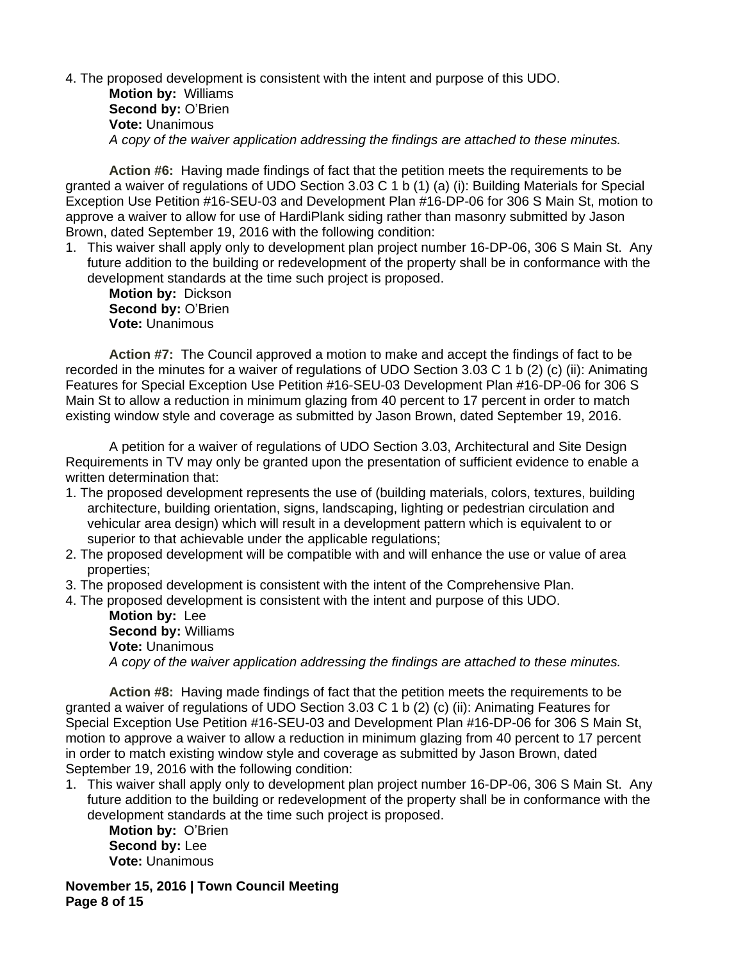#### 4. The proposed development is consistent with the intent and purpose of this UDO.

**Motion by:** Williams **Second by:** O'Brien **Vote:** Unanimous *A copy of the waiver application addressing the findings are attached to these minutes.*

**Action #6:** Having made findings of fact that the petition meets the requirements to be granted a waiver of regulations of UDO Section 3.03 C 1 b (1) (a) (i): Building Materials for Special Exception Use Petition #16-SEU-03 and Development Plan #16-DP-06 for 306 S Main St, motion to approve a waiver to allow for use of HardiPlank siding rather than masonry submitted by Jason Brown, dated September 19, 2016 with the following condition:

1. This waiver shall apply only to development plan project number 16-DP-06, 306 S Main St. Any future addition to the building or redevelopment of the property shall be in conformance with the development standards at the time such project is proposed.

**Motion by:** Dickson **Second by: O'Brien Vote:** Unanimous

**Action #7:** The Council approved a motion to make and accept the findings of fact to be recorded in the minutes for a waiver of regulations of UDO Section 3.03 C 1 b (2) (c) (ii): Animating Features for Special Exception Use Petition #16-SEU-03 Development Plan #16-DP-06 for 306 S Main St to allow a reduction in minimum glazing from 40 percent to 17 percent in order to match existing window style and coverage as submitted by Jason Brown, dated September 19, 2016.

A petition for a waiver of regulations of UDO Section 3.03, Architectural and Site Design Requirements in TV may only be granted upon the presentation of sufficient evidence to enable a written determination that:

- 1. The proposed development represents the use of (building materials, colors, textures, building architecture, building orientation, signs, landscaping, lighting or pedestrian circulation and vehicular area design) which will result in a development pattern which is equivalent to or superior to that achievable under the applicable regulations;
- 2. The proposed development will be compatible with and will enhance the use or value of area properties;
- 3. The proposed development is consistent with the intent of the Comprehensive Plan.
- 4. The proposed development is consistent with the intent and purpose of this UDO.

**Motion by:** Lee **Second by:** Williams **Vote:** Unanimous *A copy of the waiver application addressing the findings are attached to these minutes.*

**Action #8:** Having made findings of fact that the petition meets the requirements to be granted a waiver of regulations of UDO Section 3.03 C 1 b (2) (c) (ii): Animating Features for Special Exception Use Petition #16-SEU-03 and Development Plan #16-DP-06 for 306 S Main St, motion to approve a waiver to allow a reduction in minimum glazing from 40 percent to 17 percent in order to match existing window style and coverage as submitted by Jason Brown, dated September 19, 2016 with the following condition:

1. This waiver shall apply only to development plan project number 16-DP-06, 306 S Main St. Any future addition to the building or redevelopment of the property shall be in conformance with the development standards at the time such project is proposed.

**Motion by:** O'Brien **Second by:** Lee **Vote:** Unanimous

**November 15, 2016 | Town Council Meeting Page 8 of 15**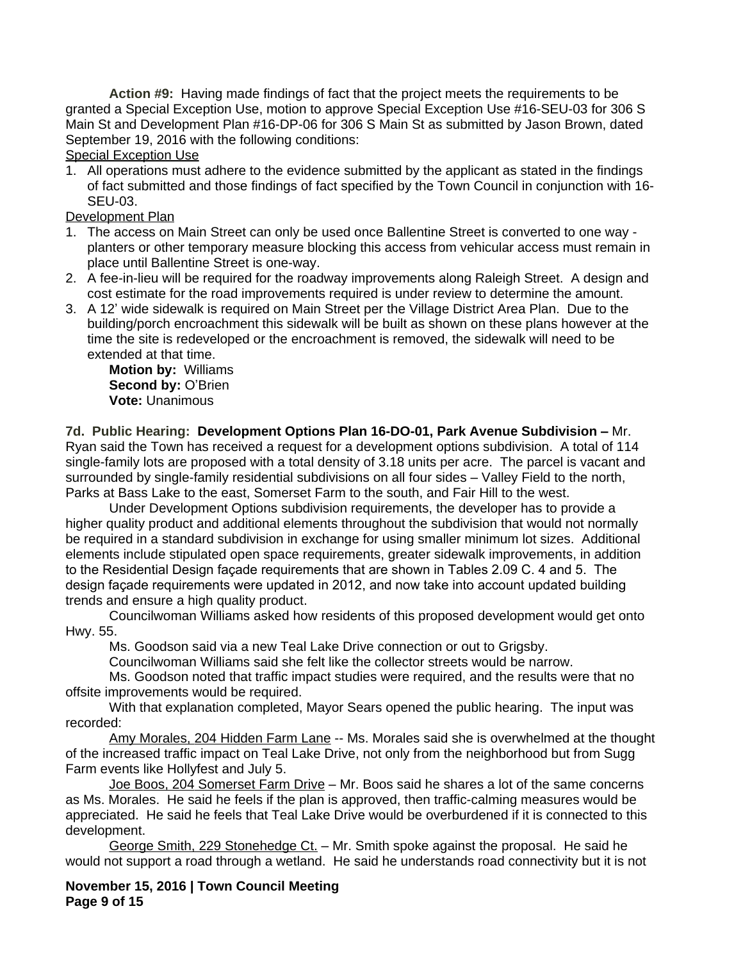**Action #9:** Having made findings of fact that the project meets the requirements to be granted a Special Exception Use, motion to approve Special Exception Use #16-SEU-03 for 306 S Main St and Development Plan #16-DP-06 for 306 S Main St as submitted by Jason Brown, dated September 19, 2016 with the following conditions:

#### Special Exception Use

1. All operations must adhere to the evidence submitted by the applicant as stated in the findings of fact submitted and those findings of fact specified by the Town Council in conjunction with 16- SEU-03.

## Development Plan

- 1. The access on Main Street can only be used once Ballentine Street is converted to one way planters or other temporary measure blocking this access from vehicular access must remain in place until Ballentine Street is one-way.
- 2. A fee-in-lieu will be required for the roadway improvements along Raleigh Street. A design and cost estimate for the road improvements required is under review to determine the amount.
- 3. A 12' wide sidewalk is required on Main Street per the Village District Area Plan. Due to the building/porch encroachment this sidewalk will be built as shown on these plans however at the time the site is redeveloped or the encroachment is removed, the sidewalk will need to be extended at that time.

**Motion by:** Williams **Second by:** O'Brien **Vote:** Unanimous

**7d. Public Hearing: Development Options Plan 16-DO-01, Park Avenue Subdivision –** Mr. Ryan said the Town has received a request for a development options subdivision. A total of 114 single-family lots are proposed with a total density of 3.18 units per acre. The parcel is vacant and surrounded by single-family residential subdivisions on all four sides – Valley Field to the north, Parks at Bass Lake to the east, Somerset Farm to the south, and Fair Hill to the west.

Under Development Options subdivision requirements, the developer has to provide a higher quality product and additional elements throughout the subdivision that would not normally be required in a standard subdivision in exchange for using smaller minimum lot sizes. Additional elements include stipulated open space requirements, greater sidewalk improvements, in addition to the Residential Design façade requirements that are shown in Tables 2.09 C. 4 and 5. The design façade requirements were updated in 2012, and now take into account updated building trends and ensure a high quality product.

Councilwoman Williams asked how residents of this proposed development would get onto Hwy. 55.

Ms. Goodson said via a new Teal Lake Drive connection or out to Grigsby.

Councilwoman Williams said she felt like the collector streets would be narrow.

Ms. Goodson noted that traffic impact studies were required, and the results were that no offsite improvements would be required.

With that explanation completed, Mayor Sears opened the public hearing. The input was recorded:

Amy Morales, 204 Hidden Farm Lane -- Ms. Morales said she is overwhelmed at the thought of the increased traffic impact on Teal Lake Drive, not only from the neighborhood but from Sugg Farm events like Hollyfest and July 5.

Joe Boos, 204 Somerset Farm Drive – Mr. Boos said he shares a lot of the same concerns as Ms. Morales. He said he feels if the plan is approved, then traffic-calming measures would be appreciated. He said he feels that Teal Lake Drive would be overburdened if it is connected to this development.

George Smith, 229 Stonehedge Ct. - Mr. Smith spoke against the proposal. He said he would not support a road through a wetland. He said he understands road connectivity but it is not

**November 15, 2016 | Town Council Meeting Page 9 of 15**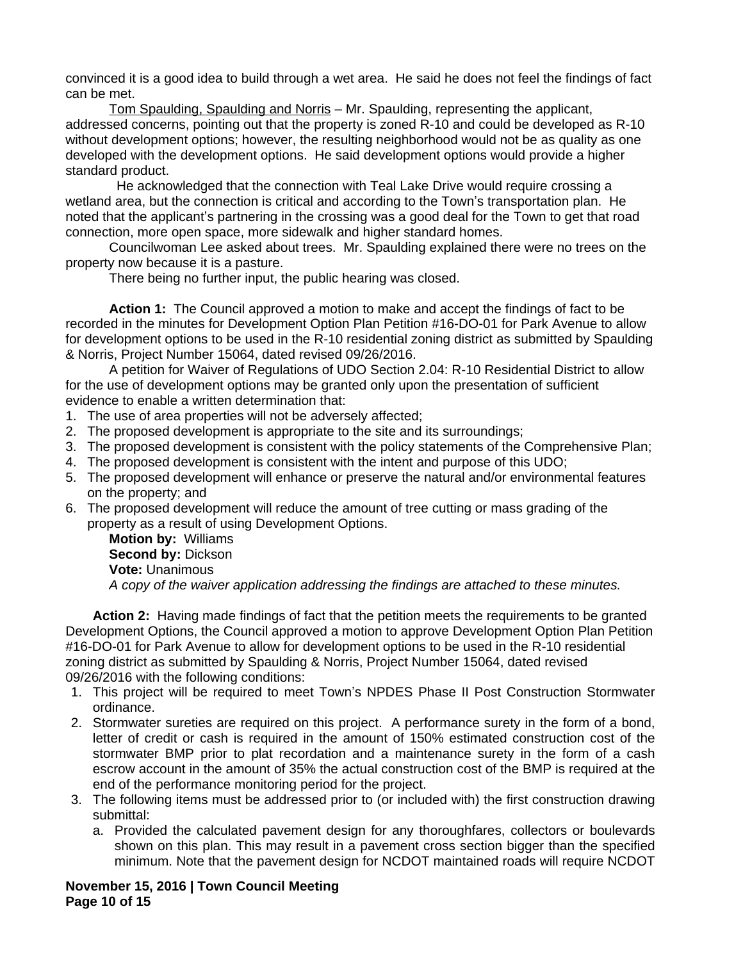convinced it is a good idea to build through a wet area. He said he does not feel the findings of fact can be met.

Tom Spaulding, Spaulding and Norris – Mr. Spaulding, representing the applicant, addressed concerns, pointing out that the property is zoned R-10 and could be developed as R-10 without development options; however, the resulting neighborhood would not be as quality as one developed with the development options. He said development options would provide a higher standard product.

 He acknowledged that the connection with Teal Lake Drive would require crossing a wetland area, but the connection is critical and according to the Town's transportation plan. He noted that the applicant's partnering in the crossing was a good deal for the Town to get that road connection, more open space, more sidewalk and higher standard homes.

Councilwoman Lee asked about trees. Mr. Spaulding explained there were no trees on the property now because it is a pasture.

There being no further input, the public hearing was closed.

**Action 1:** The Council approved a motion to make and accept the findings of fact to be recorded in the minutes for Development Option Plan Petition #16-DO-01 for Park Avenue to allow for development options to be used in the R-10 residential zoning district as submitted by Spaulding & Norris, Project Number 15064, dated revised 09/26/2016.

A petition for Waiver of Regulations of UDO Section 2.04: R-10 Residential District to allow for the use of development options may be granted only upon the presentation of sufficient evidence to enable a written determination that:

- 1. The use of area properties will not be adversely affected;
- 2. The proposed development is appropriate to the site and its surroundings;
- 3. The proposed development is consistent with the policy statements of the Comprehensive Plan;
- 4. The proposed development is consistent with the intent and purpose of this UDO;
- 5. The proposed development will enhance or preserve the natural and/or environmental features on the property; and
- 6. The proposed development will reduce the amount of tree cutting or mass grading of the property as a result of using Development Options.

**Motion by:** Williams **Second by:** Dickson **Vote:** Unanimous *A copy of the waiver application addressing the findings are attached to these minutes.*

**Action 2:** Having made findings of fact that the petition meets the requirements to be granted Development Options, the Council approved a motion to approve Development Option Plan Petition #16-DO-01 for Park Avenue to allow for development options to be used in the R-10 residential zoning district as submitted by Spaulding & Norris, Project Number 15064, dated revised 09/26/2016 with the following conditions:

- 1. This project will be required to meet Town's NPDES Phase II Post Construction Stormwater ordinance.
- 2. Stormwater sureties are required on this project. A performance surety in the form of a bond, letter of credit or cash is required in the amount of 150% estimated construction cost of the stormwater BMP prior to plat recordation and a maintenance surety in the form of a cash escrow account in the amount of 35% the actual construction cost of the BMP is required at the end of the performance monitoring period for the project.
- 3. The following items must be addressed prior to (or included with) the first construction drawing submittal:
	- a. Provided the calculated pavement design for any thoroughfares, collectors or boulevards shown on this plan. This may result in a pavement cross section bigger than the specified minimum. Note that the pavement design for NCDOT maintained roads will require NCDOT

**November 15, 2016 | Town Council Meeting Page 10 of 15**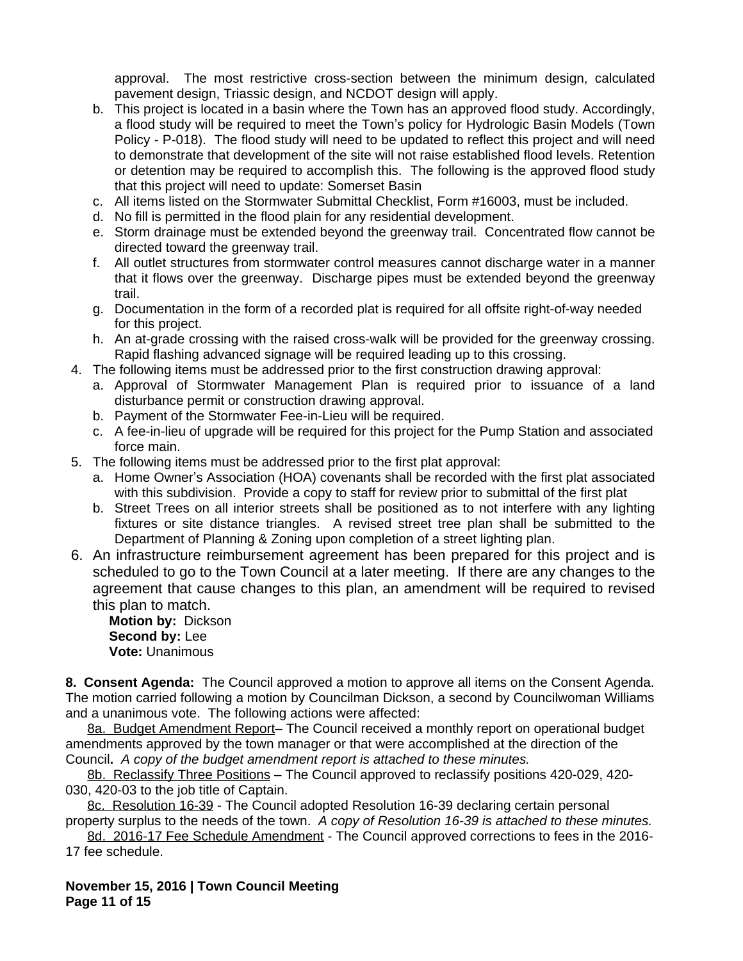approval. The most restrictive cross-section between the minimum design, calculated pavement design, Triassic design, and NCDOT design will apply.

- b. This project is located in a basin where the Town has an approved flood study. Accordingly, a flood study will be required to meet the Town's policy for Hydrologic Basin Models (Town Policy - P-018). The flood study will need to be updated to reflect this project and will need to demonstrate that development of the site will not raise established flood levels. Retention or detention may be required to accomplish this. The following is the approved flood study that this project will need to update: Somerset Basin
- c. All items listed on the Stormwater Submittal Checklist, Form #16003, must be included.
- d. No fill is permitted in the flood plain for any residential development.
- e. Storm drainage must be extended beyond the greenway trail. Concentrated flow cannot be directed toward the greenway trail.
- f. All outlet structures from stormwater control measures cannot discharge water in a manner that it flows over the greenway. Discharge pipes must be extended beyond the greenway trail.
- g. Documentation in the form of a recorded plat is required for all offsite right-of-way needed for this project.
- h. An at-grade crossing with the raised cross-walk will be provided for the greenway crossing. Rapid flashing advanced signage will be required leading up to this crossing.
- 4. The following items must be addressed prior to the first construction drawing approval:
	- a. Approval of Stormwater Management Plan is required prior to issuance of a land disturbance permit or construction drawing approval.
	- b. Payment of the Stormwater Fee-in-Lieu will be required.
	- c. A fee-in-lieu of upgrade will be required for this project for the Pump Station and associated force main.
- 5. The following items must be addressed prior to the first plat approval:
	- a. Home Owner's Association (HOA) covenants shall be recorded with the first plat associated with this subdivision. Provide a copy to staff for review prior to submittal of the first plat
	- b. Street Trees on all interior streets shall be positioned as to not interfere with any lighting fixtures or site distance triangles. A revised street tree plan shall be submitted to the Department of Planning & Zoning upon completion of a street lighting plan.
- 6. An infrastructure reimbursement agreement has been prepared for this project and is scheduled to go to the Town Council at a later meeting. If there are any changes to the agreement that cause changes to this plan, an amendment will be required to revised this plan to match.

**Motion by:** Dickson **Second by:** Lee **Vote:** Unanimous

**8. Consent Agenda:** The Council approved a motion to approve all items on the Consent Agenda. The motion carried following a motion by Councilman Dickson, a second by Councilwoman Williams and a unanimous vote. The following actions were affected:

8a. Budget Amendment Report- The Council received a monthly report on operational budget amendments approved by the town manager or that were accomplished at the direction of the Council**.** *A copy of the budget amendment report is attached to these minutes.*

8b. Reclassify Three Positions - The Council approved to reclassify positions 420-029, 420-030, 420-03 to the job title of Captain.

8c. Resolution 16-39 - The Council adopted Resolution 16-39 declaring certain personal property surplus to the needs of the town.*A copy of Resolution 16-39 is attached to these minutes.*

8d. 2016-17 Fee Schedule Amendment - The Council approved corrections to fees in the 2016- 17 fee schedule.

**November 15, 2016 | Town Council Meeting Page 11 of 15**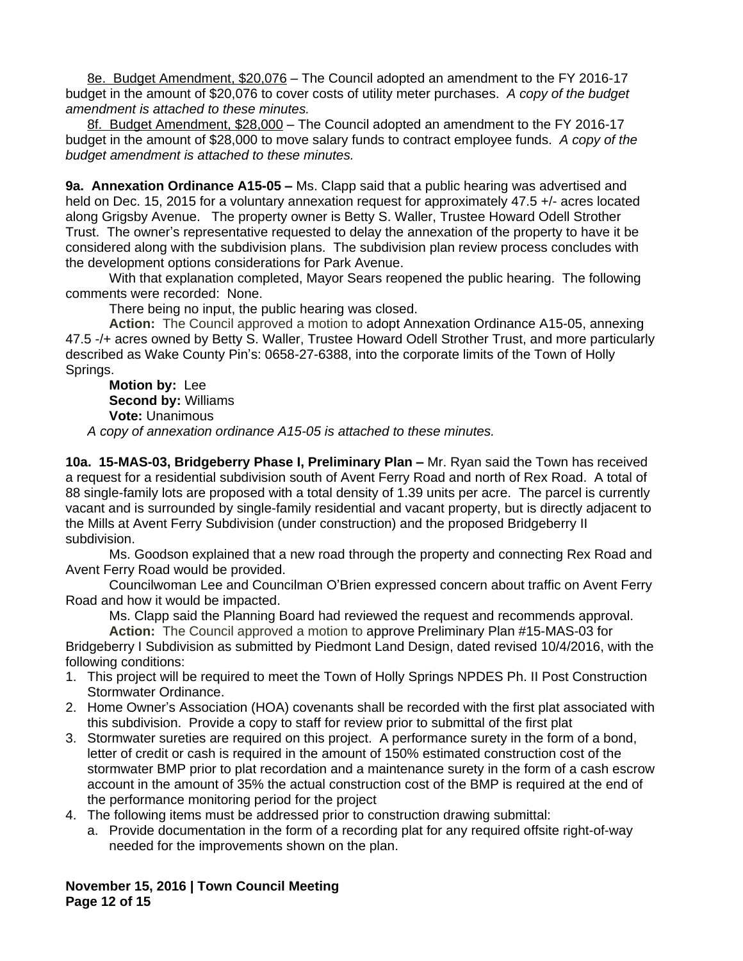8e. Budget Amendment, \$20,076 - The Council adopted an amendment to the FY 2016-17 budget in the amount of \$20,076 to cover costs of utility meter purchases. *A copy of the budget amendment is attached to these minutes.*

8f. Budget Amendment, \$28,000 – The Council adopted an amendment to the FY 2016-17 budget in the amount of \$28,000 to move salary funds to contract employee funds. *A copy of the budget amendment is attached to these minutes.*

**9a. Annexation Ordinance A15-05 –** Ms. Clapp said that a public hearing was advertised and held on Dec. 15, 2015 for a voluntary annexation request for approximately 47.5 +/- acres located along Grigsby Avenue. The property owner is Betty S. Waller, Trustee Howard Odell Strother Trust. The owner's representative requested to delay the annexation of the property to have it be considered along with the subdivision plans. The subdivision plan review process concludes with the development options considerations for Park Avenue.

With that explanation completed, Mayor Sears reopened the public hearing. The following comments were recorded: None.

There being no input, the public hearing was closed.

**Action:** The Council approved a motion to adopt Annexation Ordinance A15-05, annexing 47.5 -/+ acres owned by Betty S. Waller, Trustee Howard Odell Strother Trust, and more particularly described as Wake County Pin's: 0658-27-6388, into the corporate limits of the Town of Holly Springs.

**Motion by:** Lee **Second by:** Williams **Vote:** Unanimous *A copy of annexation ordinance A15-05 is attached to these minutes.*

**10a. 15-MAS-03, Bridgeberry Phase I, Preliminary Plan –** Mr. Ryan said the Town has received a request for a residential subdivision south of Avent Ferry Road and north of Rex Road. A total of 88 single-family lots are proposed with a total density of 1.39 units per acre. The parcel is currently vacant and is surrounded by single-family residential and vacant property, but is directly adjacent to the Mills at Avent Ferry Subdivision (under construction) and the proposed Bridgeberry II subdivision.

Ms. Goodson explained that a new road through the property and connecting Rex Road and Avent Ferry Road would be provided.

Councilwoman Lee and Councilman O'Brien expressed concern about traffic on Avent Ferry Road and how it would be impacted.

Ms. Clapp said the Planning Board had reviewed the request and recommends approval.

**Action:** The Council approved a motion to approve Preliminary Plan #15-MAS-03 for Bridgeberry I Subdivision as submitted by Piedmont Land Design, dated revised 10/4/2016, with the following conditions:

- 1. This project will be required to meet the Town of Holly Springs NPDES Ph. II Post Construction Stormwater Ordinance.
- 2. Home Owner's Association (HOA) covenants shall be recorded with the first plat associated with this subdivision. Provide a copy to staff for review prior to submittal of the first plat
- 3. Stormwater sureties are required on this project. A performance surety in the form of a bond, letter of credit or cash is required in the amount of 150% estimated construction cost of the stormwater BMP prior to plat recordation and a maintenance surety in the form of a cash escrow account in the amount of 35% the actual construction cost of the BMP is required at the end of the performance monitoring period for the project
- 4. The following items must be addressed prior to construction drawing submittal:
	- a. Provide documentation in the form of a recording plat for any required offsite right-of-way needed for the improvements shown on the plan.

**November 15, 2016 | Town Council Meeting Page 12 of 15**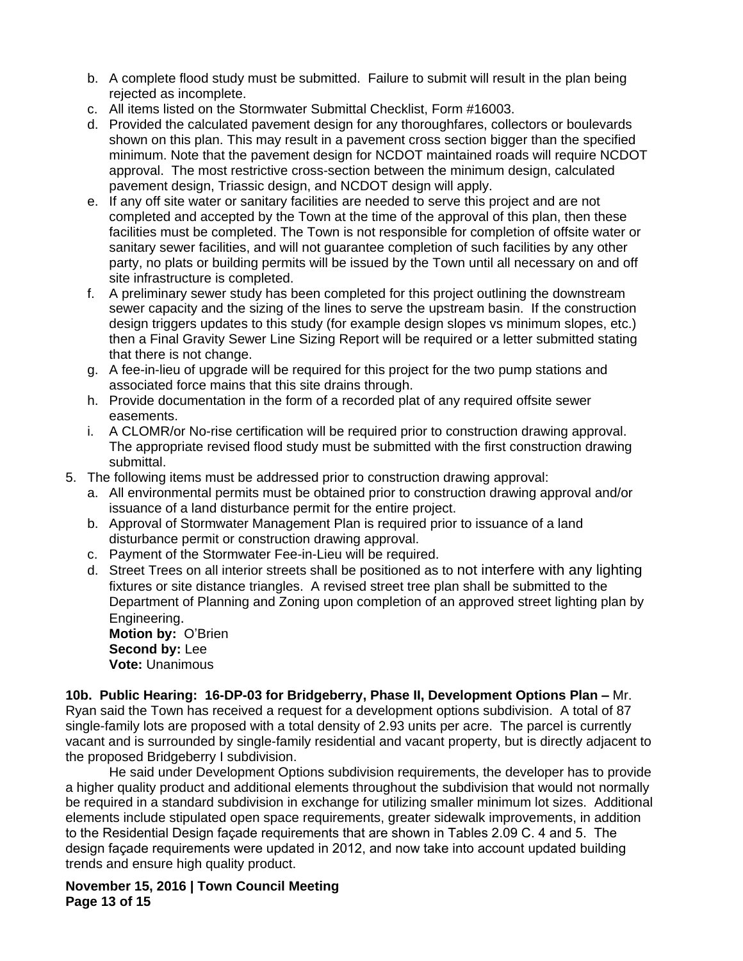- b. A complete flood study must be submitted. Failure to submit will result in the plan being rejected as incomplete.
- c. All items listed on the Stormwater Submittal Checklist, Form #16003.
- d. Provided the calculated pavement design for any thoroughfares, collectors or boulevards shown on this plan. This may result in a pavement cross section bigger than the specified minimum. Note that the pavement design for NCDOT maintained roads will require NCDOT approval. The most restrictive cross-section between the minimum design, calculated pavement design, Triassic design, and NCDOT design will apply.
- e. If any off site water or sanitary facilities are needed to serve this project and are not completed and accepted by the Town at the time of the approval of this plan, then these facilities must be completed. The Town is not responsible for completion of offsite water or sanitary sewer facilities, and will not guarantee completion of such facilities by any other party, no plats or building permits will be issued by the Town until all necessary on and off site infrastructure is completed.
- f. A preliminary sewer study has been completed for this project outlining the downstream sewer capacity and the sizing of the lines to serve the upstream basin. If the construction design triggers updates to this study (for example design slopes vs minimum slopes, etc.) then a Final Gravity Sewer Line Sizing Report will be required or a letter submitted stating that there is not change.
- g. A fee-in-lieu of upgrade will be required for this project for the two pump stations and associated force mains that this site drains through.
- h. Provide documentation in the form of a recorded plat of any required offsite sewer easements.
- i. A CLOMR/or No-rise certification will be required prior to construction drawing approval. The appropriate revised flood study must be submitted with the first construction drawing submittal.
- 5. The following items must be addressed prior to construction drawing approval:
	- a. All environmental permits must be obtained prior to construction drawing approval and/or issuance of a land disturbance permit for the entire project.
	- b. Approval of Stormwater Management Plan is required prior to issuance of a land disturbance permit or construction drawing approval.
	- c. Payment of the Stormwater Fee-in-Lieu will be required.
	- d. Street Trees on all interior streets shall be positioned as to not interfere with any lighting fixtures or site distance triangles. A revised street tree plan shall be submitted to the Department of Planning and Zoning upon completion of an approved street lighting plan by Engineering.

**Motion by:** O'Brien **Second by:** Lee **Vote:** Unanimous

**10b. Public Hearing: 16-DP-03 for Bridgeberry, Phase II, Development Options Plan –** Mr. Ryan said the Town has received a request for a development options subdivision. A total of 87 single-family lots are proposed with a total density of 2.93 units per acre. The parcel is currently vacant and is surrounded by single-family residential and vacant property, but is directly adjacent to the proposed Bridgeberry I subdivision.

He said under Development Options subdivision requirements, the developer has to provide a higher quality product and additional elements throughout the subdivision that would not normally be required in a standard subdivision in exchange for utilizing smaller minimum lot sizes. Additional elements include stipulated open space requirements, greater sidewalk improvements, in addition to the Residential Design façade requirements that are shown in Tables 2.09 C. 4 and 5. The design façade requirements were updated in 2012, and now take into account updated building trends and ensure high quality product.

**November 15, 2016 | Town Council Meeting Page 13 of 15**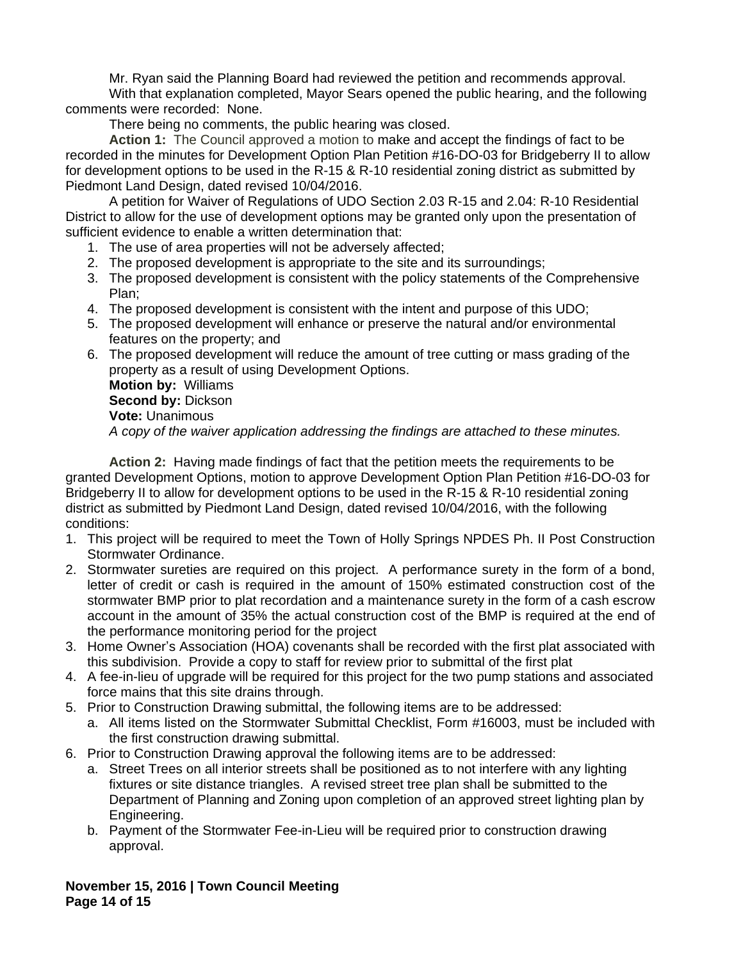Mr. Ryan said the Planning Board had reviewed the petition and recommends approval.

With that explanation completed, Mayor Sears opened the public hearing, and the following comments were recorded: None.

There being no comments, the public hearing was closed.

**Action 1:** The Council approved a motion to make and accept the findings of fact to be recorded in the minutes for Development Option Plan Petition #16-DO-03 for Bridgeberry II to allow for development options to be used in the R-15 & R-10 residential zoning district as submitted by Piedmont Land Design, dated revised 10/04/2016.

A petition for Waiver of Regulations of UDO Section 2.03 R-15 and 2.04: R-10 Residential District to allow for the use of development options may be granted only upon the presentation of sufficient evidence to enable a written determination that:

- 1. The use of area properties will not be adversely affected;
- 2. The proposed development is appropriate to the site and its surroundings;
- 3. The proposed development is consistent with the policy statements of the Comprehensive Plan;
- 4. The proposed development is consistent with the intent and purpose of this UDO;
- 5. The proposed development will enhance or preserve the natural and/or environmental features on the property; and
- 6. The proposed development will reduce the amount of tree cutting or mass grading of the property as a result of using Development Options.

**Motion by:** Williams **Second by:** Dickson **Vote:** Unanimous *A copy of the waiver application addressing the findings are attached to these minutes.*

**Action 2:** Having made findings of fact that the petition meets the requirements to be granted Development Options, motion to approve Development Option Plan Petition #16-DO-03 for Bridgeberry II to allow for development options to be used in the R-15 & R-10 residential zoning district as submitted by Piedmont Land Design, dated revised 10/04/2016, with the following conditions:

- 1. This project will be required to meet the Town of Holly Springs NPDES Ph. II Post Construction Stormwater Ordinance.
- 2. Stormwater sureties are required on this project. A performance surety in the form of a bond, letter of credit or cash is required in the amount of 150% estimated construction cost of the stormwater BMP prior to plat recordation and a maintenance surety in the form of a cash escrow account in the amount of 35% the actual construction cost of the BMP is required at the end of the performance monitoring period for the project
- 3. Home Owner's Association (HOA) covenants shall be recorded with the first plat associated with this subdivision. Provide a copy to staff for review prior to submittal of the first plat
- 4. A fee-in-lieu of upgrade will be required for this project for the two pump stations and associated force mains that this site drains through.
- 5. Prior to Construction Drawing submittal, the following items are to be addressed:
	- a. All items listed on the Stormwater Submittal Checklist, Form #16003, must be included with the first construction drawing submittal.
- 6. Prior to Construction Drawing approval the following items are to be addressed:
	- a. Street Trees on all interior streets shall be positioned as to not interfere with any lighting fixtures or site distance triangles. A revised street tree plan shall be submitted to the Department of Planning and Zoning upon completion of an approved street lighting plan by Engineering.
	- b. Payment of the Stormwater Fee-in-Lieu will be required prior to construction drawing approval.

**November 15, 2016 | Town Council Meeting Page 14 of 15**